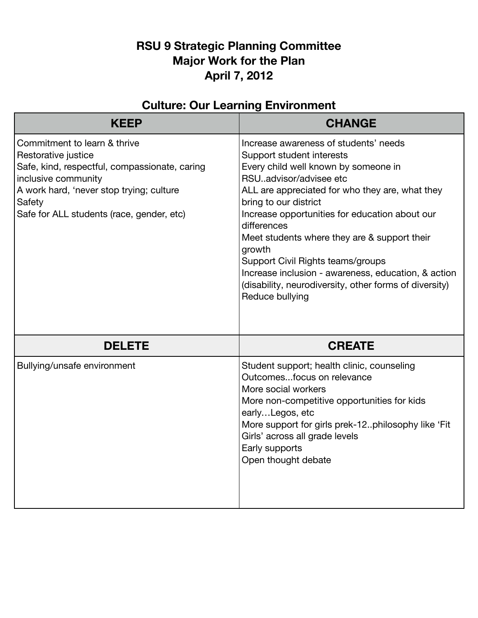## **RSU 9 Strategic Planning Committee Major Work for the Plan April 7, 2012**

| <b>Culture: Our Learning Environment</b>                                                                                                                                                                                       |                                                                                                                                                                                                                                                                                                                                                                                                                                                                                                                      |
|--------------------------------------------------------------------------------------------------------------------------------------------------------------------------------------------------------------------------------|----------------------------------------------------------------------------------------------------------------------------------------------------------------------------------------------------------------------------------------------------------------------------------------------------------------------------------------------------------------------------------------------------------------------------------------------------------------------------------------------------------------------|
| <b>KEEP</b>                                                                                                                                                                                                                    | <b>CHANGE</b>                                                                                                                                                                                                                                                                                                                                                                                                                                                                                                        |
| Commitment to learn & thrive<br>Restorative justice<br>Safe, kind, respectful, compassionate, caring<br>inclusive community<br>A work hard, 'never stop trying; culture<br>Safety<br>Safe for ALL students (race, gender, etc) | Increase awareness of students' needs<br>Support student interests<br>Every child well known by someone in<br>RSUadvisor/advisee etc<br>ALL are appreciated for who they are, what they<br>bring to our district<br>Increase opportunities for education about our<br>differences<br>Meet students where they are & support their<br>growth<br>Support Civil Rights teams/groups<br>Increase inclusion - awareness, education, & action<br>(disability, neurodiversity, other forms of diversity)<br>Reduce bullying |
| <b>DELETE</b>                                                                                                                                                                                                                  | <b>CREATE</b>                                                                                                                                                                                                                                                                                                                                                                                                                                                                                                        |
| Bullying/unsafe environment                                                                                                                                                                                                    | Student support; health clinic, counseling<br>Outcomesfocus on relevance<br>More social workers<br>More non-competitive opportunities for kids<br>earlyLegos, etc<br>More support for girls prek-12philosophy like 'Fit<br>Girls' across all grade levels<br>Early supports<br>Open thought debate                                                                                                                                                                                                                   |

## **Culture: Our Learning Environment**